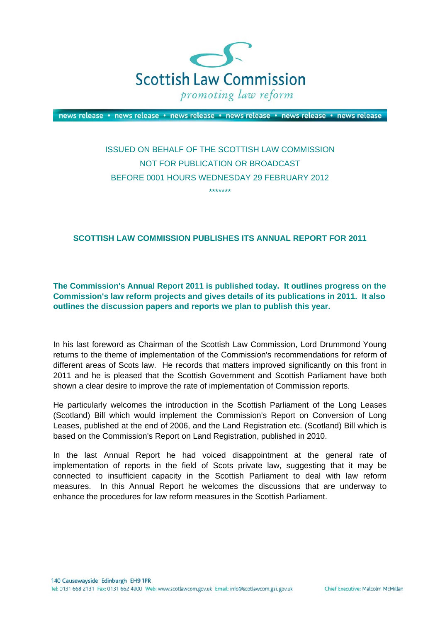

news release · news release · news release · news release · news release · news release

# ISSUED ON BEHALF OF THE SCOTTISH LAW COMMISSION NOT FOR PUBLICATION OR BROADCAST BEFORE 0001 HOURS WEDNESDAY 29 FEBRUARY 2012 \*\*\*\*\*\*\*

## **SCOTTISH LAW COMMISSION PUBLISHES ITS ANNUAL REPORT FOR 2011**

**The Commission's Annual Report 2011 is published today. It outlines progress on the Commission's law reform projects and gives details of its publications in 2011. It also outlines the discussion papers and reports we plan to publish this year.**

In his last foreword as Chairman of the Scottish Law Commission, Lord Drummond Young returns to the theme of implementation of the Commission's recommendations for reform of different areas of Scots law. He records that matters improved significantly on this front in 2011 and he is pleased that the Scottish Government and Scottish Parliament have both shown a clear desire to improve the rate of implementation of Commission reports.

He particularly welcomes the introduction in the Scottish Parliament of the Long Leases (Scotland) Bill which would implement the Commission's Report on Conversion of Long Leases, published at the end of 2006, and the Land Registration etc. (Scotland) Bill which is based on the Commission's Report on Land Registration, published in 2010.

In the last Annual Report he had voiced disappointment at the general rate of implementation of reports in the field of Scots private law, suggesting that it may be connected to insufficient capacity in the Scottish Parliament to deal with law reform measures. In this Annual Report he welcomes the discussions that are underway to enhance the procedures for law reform measures in the Scottish Parliament.